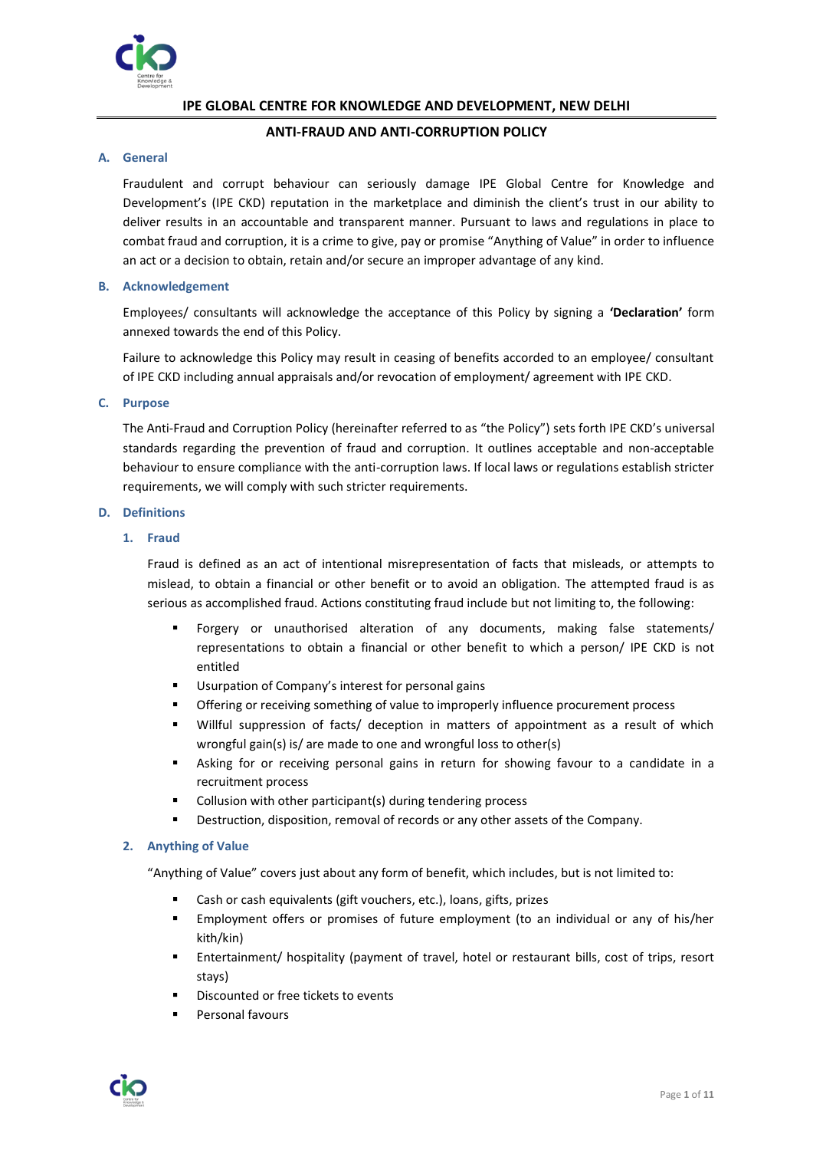

# **IPE GLOBAL CENTRE FOR KNOWLEDGE AND DEVELOPMENT, NEW DELHI**

# **ANTI-FRAUD AND ANTI-CORRUPTION POLICY**

# **A. General**

Fraudulent and corrupt behaviour can seriously damage IPE Global Centre for Knowledge and Development's (IPE CKD) reputation in the marketplace and diminish the client's trust in our ability to deliver results in an accountable and transparent manner. Pursuant to laws and regulations in place to combat fraud and corruption, it is a crime to give, pay or promise "Anything of Value" in order to influence an act or a decision to obtain, retain and/or secure an improper advantage of any kind.

## **B. Acknowledgement**

Employees/ consultants will acknowledge the acceptance of this Policy by signing a **'Declaration'** form annexed towards the end of this Policy.

Failure to acknowledge this Policy may result in ceasing of benefits accorded to an employee/ consultant of IPE CKD including annual appraisals and/or revocation of employment/ agreement with IPE CKD.

## **C. Purpose**

The Anti-Fraud and Corruption Policy (hereinafter referred to as "the Policy") sets forth IPE CKD's universal standards regarding the prevention of fraud and corruption. It outlines acceptable and non-acceptable behaviour to ensure compliance with the anti-corruption laws. If local laws or regulations establish stricter requirements, we will comply with such stricter requirements.

# **D. Definitions**

## **1. Fraud**

Fraud is defined as an act of intentional misrepresentation of facts that misleads, or attempts to mislead, to obtain a financial or other benefit or to avoid an obligation. The attempted fraud is as serious as accomplished fraud. Actions constituting fraud include but not limiting to, the following:

- Forgery or unauthorised alteration of any documents, making false statements/ representations to obtain a financial or other benefit to which a person/ IPE CKD is not entitled
- Usurpation of Company's interest for personal gains
- Offering or receiving something of value to improperly influence procurement process
- Willful suppression of facts/ deception in matters of appointment as a result of which wrongful gain(s) is/ are made to one and wrongful loss to other(s)
- Asking for or receiving personal gains in return for showing favour to a candidate in a recruitment process
- Collusion with other participant(s) during tendering process
- Destruction, disposition, removal of records or any other assets of the Company.

# **2. Anything of Value**

"Anything of Value" covers just about any form of benefit, which includes, but is not limited to:

- Cash or cash equivalents (gift vouchers, etc.), loans, gifts, prizes
- **Employment offers or promises of future employment (to an individual or any of his/her** kith/kin)
- Entertainment/ hospitality (payment of travel, hotel or restaurant bills, cost of trips, resort stays)
- Discounted or free tickets to events
- Personal favours

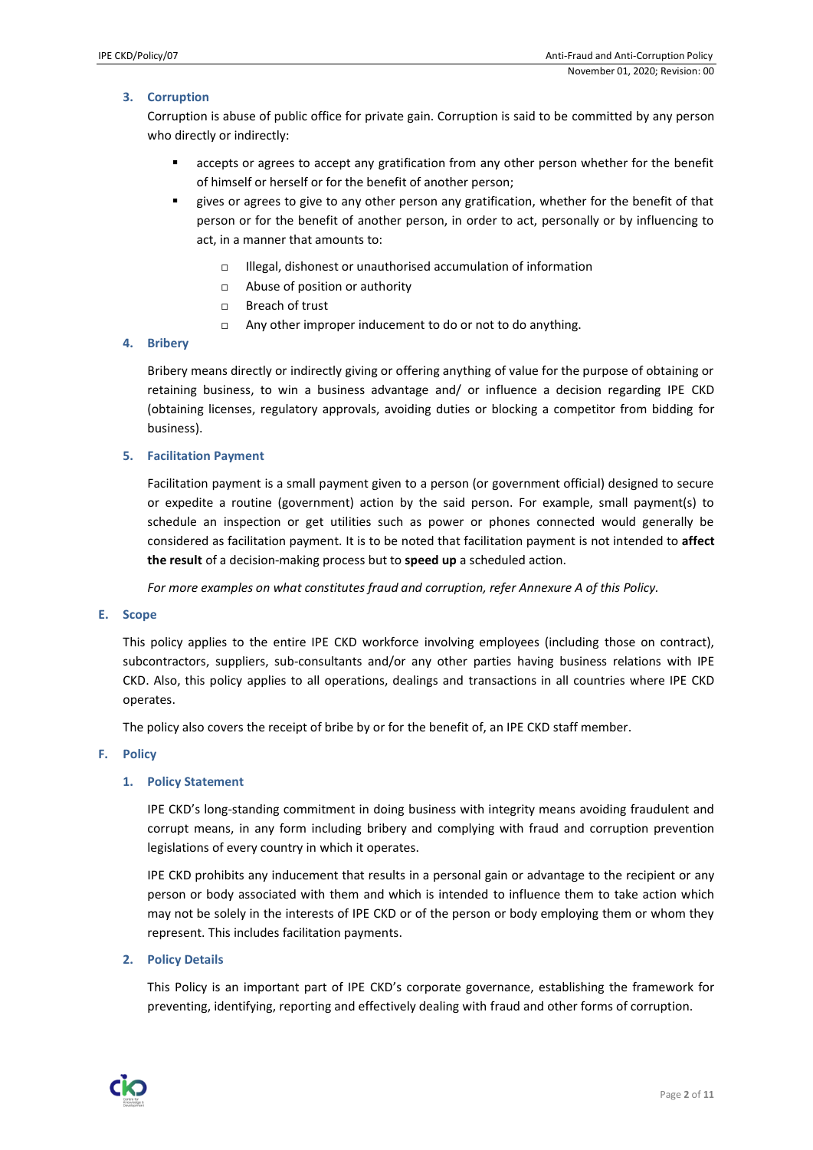# **3. Corruption**

Corruption is abuse of public office for private gain. Corruption is said to be committed by any person who directly or indirectly:

- accepts or agrees to accept any gratification from any other person whether for the benefit of himself or herself or for the benefit of another person;
- gives or agrees to give to any other person any gratification, whether for the benefit of that person or for the benefit of another person, in order to act, personally or by influencing to act, in a manner that amounts to:
	- $\Box$  Illegal, dishonest or unauthorised accumulation of information
	- □ Abuse of position or authority
	- □ Breach of trust
	- $\Box$  Any other improper inducement to do or not to do anything.

# **4. Bribery**

Bribery means directly or indirectly giving or offering anything of value for the purpose of obtaining or retaining business, to win a business advantage and/ or influence a decision regarding IPE CKD (obtaining licenses, regulatory approvals, avoiding duties or blocking a competitor from bidding for business).

# **5. Facilitation Payment**

Facilitation payment is a small payment given to a person (or government official) designed to secure or expedite a routine (government) action by the said person. For example, small payment(s) to schedule an inspection or get utilities such as power or phones connected would generally be considered as facilitation payment. It is to be noted that facilitation payment is not intended to **affect the result** of a decision-making process but to **speed up** a scheduled action.

*For more examples on what constitutes fraud and corruption, refer Annexure A of this Policy.*

#### **E. Scope**

This policy applies to the entire IPE CKD workforce involving employees (including those on contract), subcontractors, suppliers, sub-consultants and/or any other parties having business relations with IPE CKD. Also, this policy applies to all operations, dealings and transactions in all countries where IPE CKD operates.

The policy also covers the receipt of bribe by or for the benefit of, an IPE CKD staff member.

# **F. Policy**

# **1. Policy Statement**

IPE CKD's long-standing commitment in doing business with integrity means avoiding fraudulent and corrupt means, in any form including bribery and complying with fraud and corruption prevention legislations of every country in which it operates.

IPE CKD prohibits any inducement that results in a personal gain or advantage to the recipient or any person or body associated with them and which is intended to influence them to take action which may not be solely in the interests of IPE CKD or of the person or body employing them or whom they represent. This includes facilitation payments.

# **2. Policy Details**

This Policy is an important part of IPE CKD's corporate governance, establishing the framework for preventing, identifying, reporting and effectively dealing with fraud and other forms of corruption.

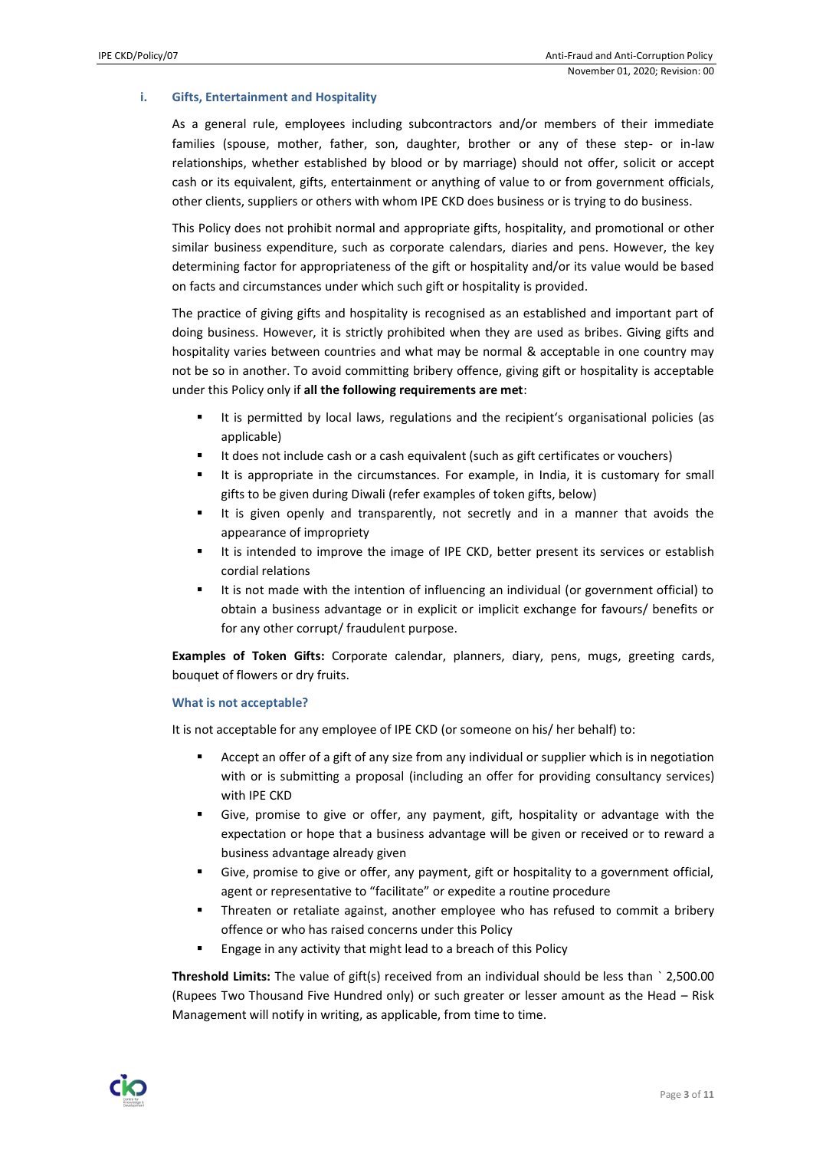## **i. Gifts, Entertainment and Hospitality**

As a general rule, employees including subcontractors and/or members of their immediate families (spouse, mother, father, son, daughter, brother or any of these step- or in-law relationships, whether established by blood or by marriage) should not offer, solicit or accept cash or its equivalent, gifts, entertainment or anything of value to or from government officials, other clients, suppliers or others with whom IPE CKD does business or is trying to do business.

This Policy does not prohibit normal and appropriate gifts, hospitality, and promotional or other similar business expenditure, such as corporate calendars, diaries and pens. However, the key determining factor for appropriateness of the gift or hospitality and/or its value would be based on facts and circumstances under which such gift or hospitality is provided.

The practice of giving gifts and hospitality is recognised as an established and important part of doing business. However, it is strictly prohibited when they are used as bribes. Giving gifts and hospitality varies between countries and what may be normal & acceptable in one country may not be so in another. To avoid committing bribery offence, giving gift or hospitality is acceptable under this Policy only if **all the following requirements are met**:

- It is permitted by local laws, regulations and the recipient's organisational policies (as applicable)
- It does not include cash or a cash equivalent (such as gift certificates or vouchers)
- It is appropriate in the circumstances. For example, in India, it is customary for small gifts to be given during Diwali (refer examples of token gifts, below)
- It is given openly and transparently, not secretly and in a manner that avoids the appearance of impropriety
- It is intended to improve the image of IPE CKD, better present its services or establish cordial relations
- It is not made with the intention of influencing an individual (or government official) to obtain a business advantage or in explicit or implicit exchange for favours/ benefits or for any other corrupt/ fraudulent purpose.

**Examples of Token Gifts:** Corporate calendar, planners, diary, pens, mugs, greeting cards, bouquet of flowers or dry fruits.

#### **What is not acceptable?**

It is not acceptable for any employee of IPE CKD (or someone on his/ her behalf) to:

- Accept an offer of a gift of any size from any individual or supplier which is in negotiation with or is submitting a proposal (including an offer for providing consultancy services) with IPE CKD
- Give, promise to give or offer, any payment, gift, hospitality or advantage with the expectation or hope that a business advantage will be given or received or to reward a business advantage already given
- Give, promise to give or offer, any payment, gift or hospitality to a government official, agent or representative to "facilitate" or expedite a routine procedure
- Threaten or retaliate against, another employee who has refused to commit a bribery offence or who has raised concerns under this Policy
- Engage in any activity that might lead to a breach of this Policy

**Threshold Limits:** The value of gift(s) received from an individual should be less than ` 2,500.00 (Rupees Two Thousand Five Hundred only) or such greater or lesser amount as the Head – Risk Management will notify in writing, as applicable, from time to time.

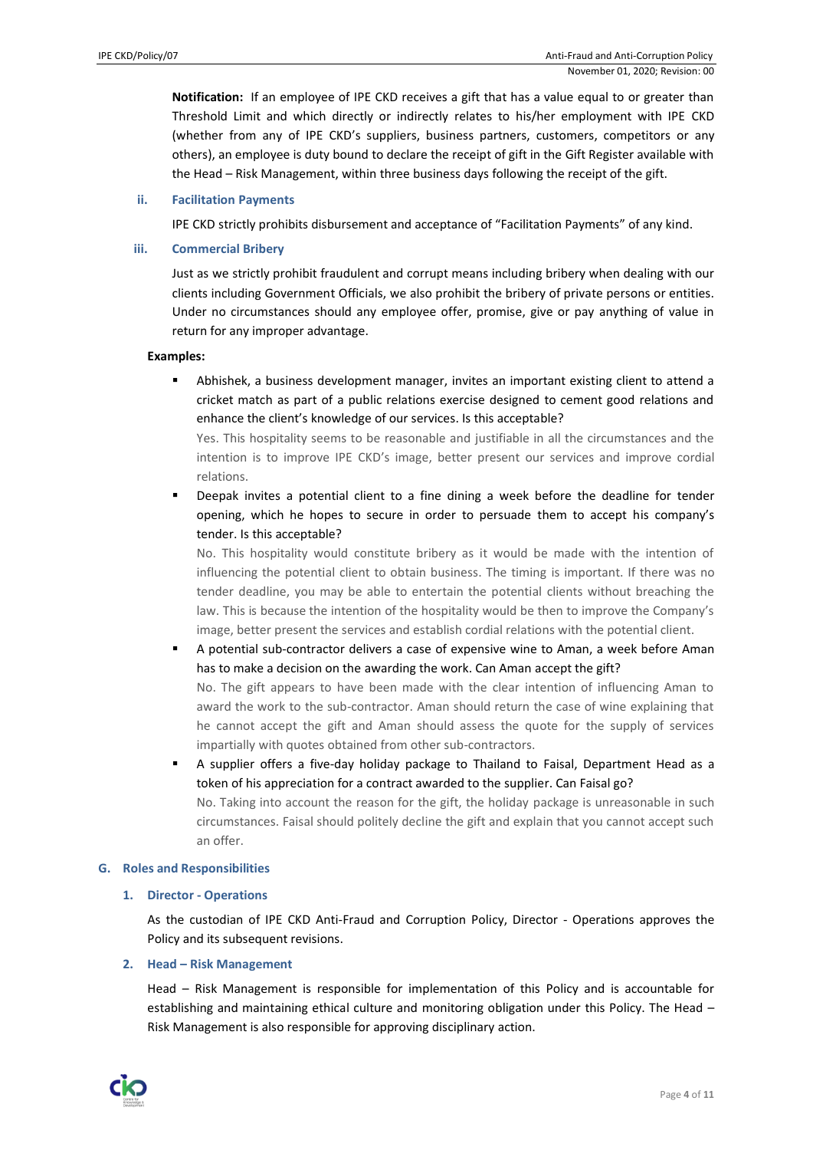**Notification:** If an employee of IPE CKD receives a gift that has a value equal to or greater than Threshold Limit and which directly or indirectly relates to his/her employment with IPE CKD (whether from any of IPE CKD's suppliers, business partners, customers, competitors or any others), an employee is duty bound to declare the receipt of gift in the Gift Register available with the Head – Risk Management, within three business days following the receipt of the gift.

#### **ii. Facilitation Payments**

IPE CKD strictly prohibits disbursement and acceptance of "Facilitation Payments" of any kind.

## **iii. Commercial Bribery**

Just as we strictly prohibit fraudulent and corrupt means including bribery when dealing with our clients including Government Officials, we also prohibit the bribery of private persons or entities. Under no circumstances should any employee offer, promise, give or pay anything of value in return for any improper advantage.

#### **Examples:**

Abhishek, a business development manager, invites an important existing client to attend a cricket match as part of a public relations exercise designed to cement good relations and enhance the client's knowledge of our services. Is this acceptable?

Yes. This hospitality seems to be reasonable and justifiable in all the circumstances and the intention is to improve IPE CKD's image, better present our services and improve cordial relations.

Deepak invites a potential client to a fine dining a week before the deadline for tender opening, which he hopes to secure in order to persuade them to accept his company's tender. Is this acceptable?

No. This hospitality would constitute bribery as it would be made with the intention of influencing the potential client to obtain business. The timing is important. If there was no tender deadline, you may be able to entertain the potential clients without breaching the law. This is because the intention of the hospitality would be then to improve the Company's image, better present the services and establish cordial relations with the potential client.

A potential sub-contractor delivers a case of expensive wine to Aman, a week before Aman has to make a decision on the awarding the work. Can Aman accept the gift?

No. The gift appears to have been made with the clear intention of influencing Aman to award the work to the sub-contractor. Aman should return the case of wine explaining that he cannot accept the gift and Aman should assess the quote for the supply of services impartially with quotes obtained from other sub-contractors.

A supplier offers a five-day holiday package to Thailand to Faisal, Department Head as a token of his appreciation for a contract awarded to the supplier. Can Faisal go? No. Taking into account the reason for the gift, the holiday package is unreasonable in such circumstances. Faisal should politely decline the gift and explain that you cannot accept such an offer.

#### **G. Roles and Responsibilities**

# **1. Director - Operations**

As the custodian of IPE CKD Anti-Fraud and Corruption Policy, Director - Operations approves the Policy and its subsequent revisions.

#### **2. Head – Risk Management**

Head – Risk Management is responsible for implementation of this Policy and is accountable for establishing and maintaining ethical culture and monitoring obligation under this Policy. The Head – Risk Management is also responsible for approving disciplinary action.

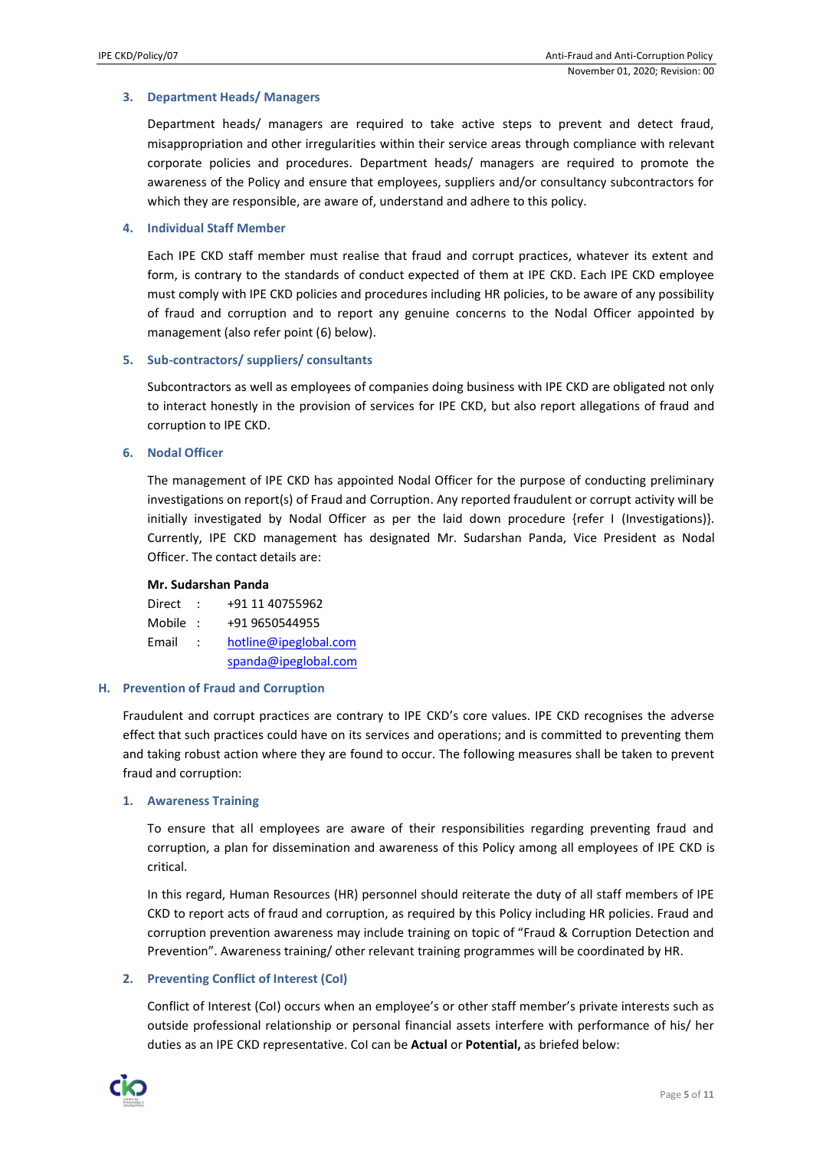## **3. Department Heads/ Managers**

Department heads/ managers are required to take active steps to prevent and detect fraud, misappropriation and other irregularities within their service areas through compliance with relevant corporate policies and procedures. Department heads/ managers are required to promote the awareness of the Policy and ensure that employees, suppliers and/or consultancy subcontractors for which they are responsible, are aware of, understand and adhere to this policy.

## **4. Individual Staff Member**

Each IPE CKD staff member must realise that fraud and corrupt practices, whatever its extent and form, is contrary to the standards of conduct expected of them at IPE CKD. Each IPE CKD employee must comply with IPE CKD policies and procedures including HR policies, to be aware of any possibility of fraud and corruption and to report any genuine concerns to the Nodal Officer appointed by management (also refer point (6) below).

## **5. Sub-contractors/ suppliers/ consultants**

Subcontractors as well as employees of companies doing business with IPE CKD are obligated not only to interact honestly in the provision of services for IPE CKD, but also report allegations of fraud and corruption to IPE CKD.

## **6. Nodal Officer**

The management of IPE CKD has appointed Nodal Officer for the purpose of conducting preliminary investigations on report(s) of Fraud and Corruption. Any reported fraudulent or corrupt activity will be initially investigated by Nodal Officer as per the laid down procedure {refer I (Investigations)}. Currently, IPE CKD management has designated Mr. Sudarshan Panda, Vice President as Nodal Officer. The contact details are:

#### **Mr. Sudarshan Panda**

- Direct : +91 11 40755962
- Mobile : +91 9650544955
- Email : [hotline@ipeglobal.com](mailto:hotline@ipeglobal.com) [spanda@ipeglobal.com](mailto:spanda@ipeglobal.com)

#### **H. Prevention of Fraud and Corruption**

Fraudulent and corrupt practices are contrary to IPE CKD's core values. IPE CKD recognises the adverse effect that such practices could have on its services and operations; and is committed to preventing them and taking robust action where they are found to occur. The following measures shall be taken to prevent fraud and corruption:

#### **1. Awareness Training**

To ensure that all employees are aware of their responsibilities regarding preventing fraud and corruption, a plan for dissemination and awareness of this Policy among all employees of IPE CKD is critical.

In this regard, Human Resources (HR) personnel should reiterate the duty of all staff members of IPE CKD to report acts of fraud and corruption, as required by this Policy including HR policies. Fraud and corruption prevention awareness may include training on topic of "Fraud & Corruption Detection and Prevention". Awareness training/ other relevant training programmes will be coordinated by HR.

# **2. Preventing Conflict of Interest (CoI)**

Conflict of Interest (CoI) occurs when an employee's or other staff member's private interests such as outside professional relationship or personal financial assets interfere with performance of his/ her duties as an IPE CKD representative. CoI can be **Actual** or **Potential,** as briefed below:

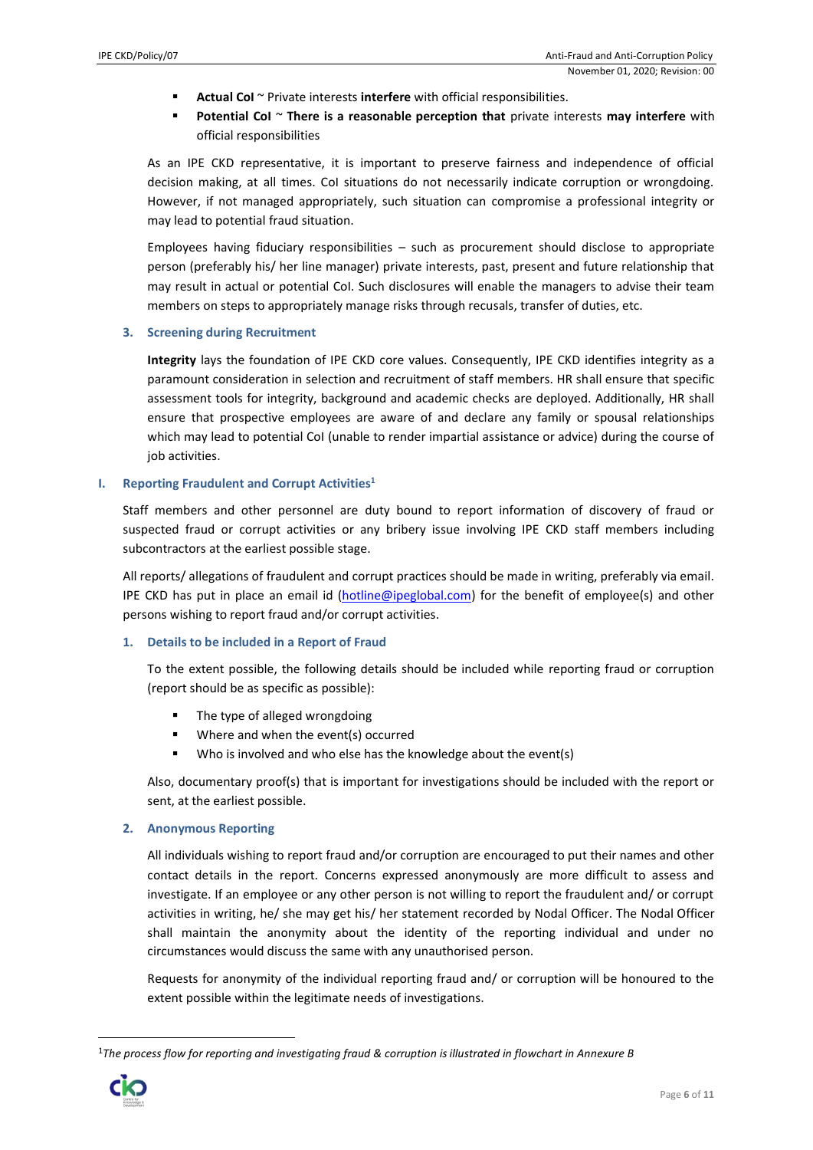- Actual CoI ~ Private interests interfere with official responsibilities.
- **Potential CoI** ~ There is a reasonable perception that private interests may interfere with official responsibilities

As an IPE CKD representative, it is important to preserve fairness and independence of official decision making, at all times. CoI situations do not necessarily indicate corruption or wrongdoing. However, if not managed appropriately, such situation can compromise a professional integrity or may lead to potential fraud situation.

Employees having fiduciary responsibilities – such as procurement should disclose to appropriate person (preferably his/ her line manager) private interests, past, present and future relationship that may result in actual or potential CoI. Such disclosures will enable the managers to advise their team members on steps to appropriately manage risks through recusals, transfer of duties, etc.

# **3. Screening during Recruitment**

**Integrity** lays the foundation of IPE CKD core values. Consequently, IPE CKD identifies integrity as a paramount consideration in selection and recruitment of staff members. HR shall ensure that specific assessment tools for integrity, background and academic checks are deployed. Additionally, HR shall ensure that prospective employees are aware of and declare any family or spousal relationships which may lead to potential CoI (unable to render impartial assistance or advice) during the course of job activities.

# **I. Reporting Fraudulent and Corrupt Activities<sup>1</sup>**

Staff members and other personnel are duty bound to report information of discovery of fraud or suspected fraud or corrupt activities or any bribery issue involving IPE CKD staff members including subcontractors at the earliest possible stage.

All reports/ allegations of fraudulent and corrupt practices should be made in writing, preferably via email. IPE CKD has put in place an email id [\(hotline@ipeglobal.com\)](mailto:hotline@ipeglobal.com) for the benefit of employee(s) and other persons wishing to report fraud and/or corrupt activities.

# **1. Details to be included in a Report of Fraud**

To the extent possible, the following details should be included while reporting fraud or corruption (report should be as specific as possible):

- The type of alleged wrongdoing
- Where and when the event(s) occurred
- Who is involved and who else has the knowledge about the event(s)

Also, documentary proof(s) that is important for investigations should be included with the report or sent, at the earliest possible.

# **2. Anonymous Reporting**

All individuals wishing to report fraud and/or corruption are encouraged to put their names and other contact details in the report. Concerns expressed anonymously are more difficult to assess and investigate. If an employee or any other person is not willing to report the fraudulent and/ or corrupt activities in writing, he/ she may get his/ her statement recorded by Nodal Officer. The Nodal Officer shall maintain the anonymity about the identity of the reporting individual and under no circumstances would discuss the same with any unauthorised person.

Requests for anonymity of the individual reporting fraud and/ or corruption will be honoured to the extent possible within the legitimate needs of investigations.

<sup>1</sup>*The process flow for reporting and investigating fraud & corruption is illustrated in flowchart in Annexure B* 

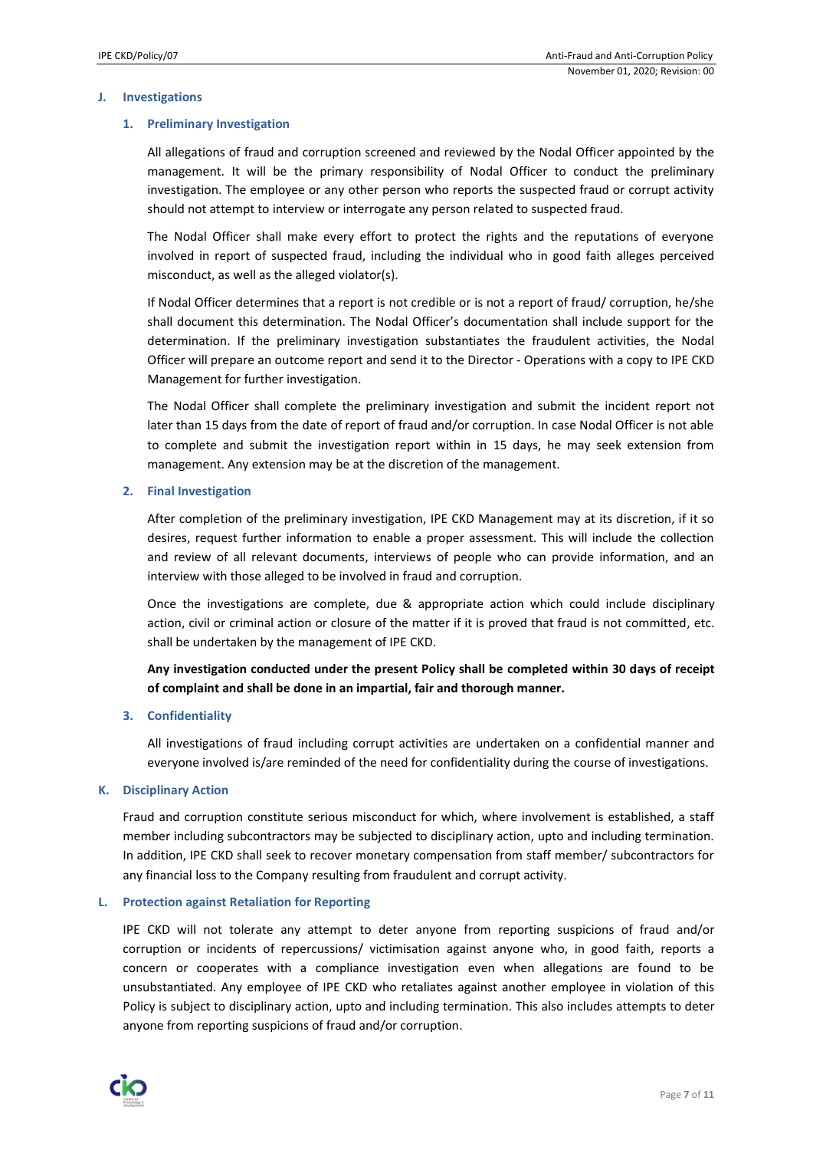## **J. Investigations**

## **1. Preliminary Investigation**

All allegations of fraud and corruption screened and reviewed by the Nodal Officer appointed by the management. It will be the primary responsibility of Nodal Officer to conduct the preliminary investigation. The employee or any other person who reports the suspected fraud or corrupt activity should not attempt to interview or interrogate any person related to suspected fraud.

The Nodal Officer shall make every effort to protect the rights and the reputations of everyone involved in report of suspected fraud, including the individual who in good faith alleges perceived misconduct, as well as the alleged violator(s).

If Nodal Officer determines that a report is not credible or is not a report of fraud/ corruption, he/she shall document this determination. The Nodal Officer's documentation shall include support for the determination. If the preliminary investigation substantiates the fraudulent activities, the Nodal Officer will prepare an outcome report and send it to the Director - Operations with a copy to IPE CKD Management for further investigation.

The Nodal Officer shall complete the preliminary investigation and submit the incident report not later than 15 days from the date of report of fraud and/or corruption. In case Nodal Officer is not able to complete and submit the investigation report within in 15 days, he may seek extension from management. Any extension may be at the discretion of the management.

## **2. Final Investigation**

After completion of the preliminary investigation, IPE CKD Management may at its discretion, if it so desires, request further information to enable a proper assessment. This will include the collection and review of all relevant documents, interviews of people who can provide information, and an interview with those alleged to be involved in fraud and corruption.

Once the investigations are complete, due & appropriate action which could include disciplinary action, civil or criminal action or closure of the matter if it is proved that fraud is not committed, etc. shall be undertaken by the management of IPE CKD.

# **Any investigation conducted under the present Policy shall be completed within 30 days of receipt of complaint and shall be done in an impartial, fair and thorough manner.**

# **3. Confidentiality**

All investigations of fraud including corrupt activities are undertaken on a confidential manner and everyone involved is/are reminded of the need for confidentiality during the course of investigations.

# **K. Disciplinary Action**

Fraud and corruption constitute serious misconduct for which, where involvement is established, a staff member including subcontractors may be subjected to disciplinary action, upto and including termination. In addition, IPE CKD shall seek to recover monetary compensation from staff member/ subcontractors for any financial loss to the Company resulting from fraudulent and corrupt activity.

#### **L. Protection against Retaliation for Reporting**

IPE CKD will not tolerate any attempt to deter anyone from reporting suspicions of fraud and/or corruption or incidents of repercussions/ victimisation against anyone who, in good faith, reports a concern or cooperates with a compliance investigation even when allegations are found to be unsubstantiated. Any employee of IPE CKD who retaliates against another employee in violation of this Policy is subject to disciplinary action, upto and including termination. This also includes attempts to deter anyone from reporting suspicions of fraud and/or corruption.

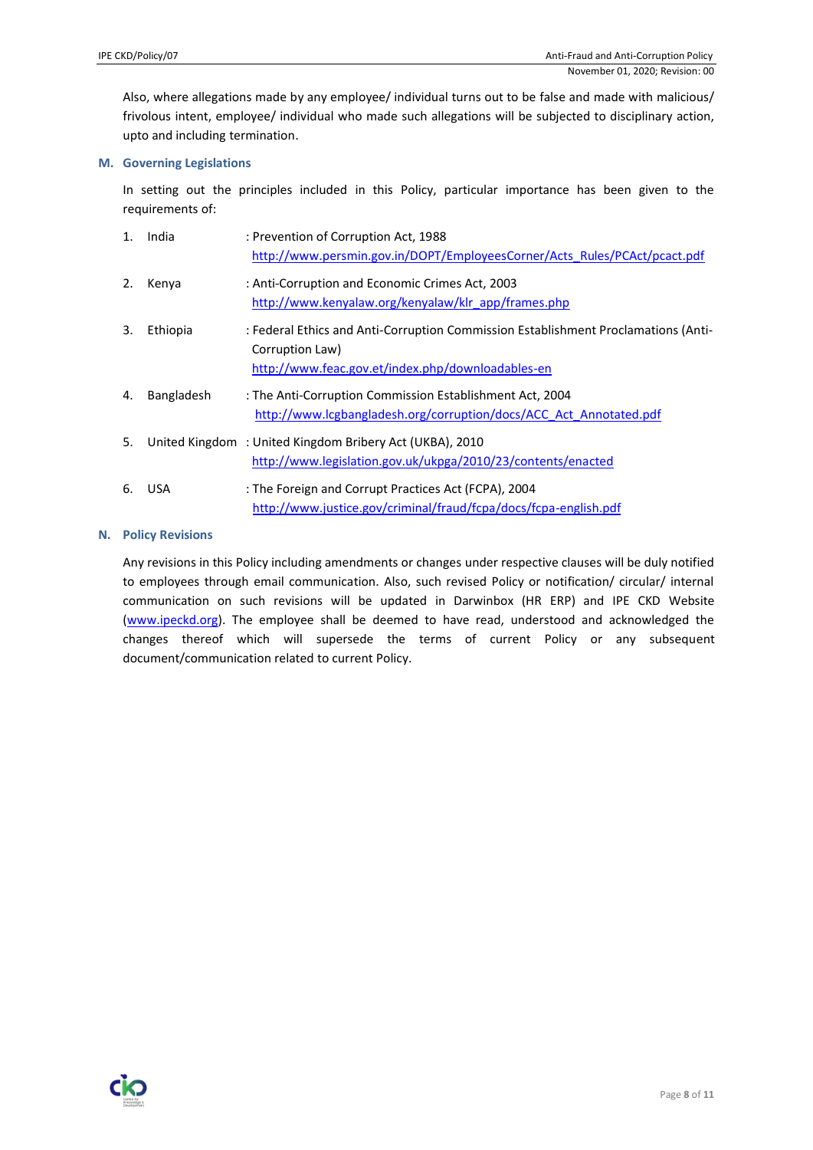Also, where allegations made by any employee/ individual turns out to be false and made with malicious/ frivolous intent, employee/ individual who made such allegations will be subjected to disciplinary action, upto and including termination.

## **M. Governing Legislations**

In setting out the principles included in this Policy, particular importance has been given to the requirements of:

| 1. | India      | : Prevention of Corruption Act, 1988<br>http://www.persmin.gov.in/DOPT/EmployeesCorner/Acts Rules/PCAct/pcact.pdf                                          |
|----|------------|------------------------------------------------------------------------------------------------------------------------------------------------------------|
| 2. | Kenya      | : Anti-Corruption and Economic Crimes Act, 2003<br>http://www.kenyalaw.org/kenyalaw/klr app/frames.php                                                     |
| 3. | Ethiopia   | : Federal Ethics and Anti-Corruption Commission Establishment Proclamations (Anti-<br>Corruption Law)<br>http://www.feac.gov.et/index.php/downloadables-en |
| 4. | Bangladesh | : The Anti-Corruption Commission Establishment Act, 2004<br>http://www.lcgbangladesh.org/corruption/docs/ACC Act Annotated.pdf                             |
| 5. |            | United Kingdom: United Kingdom Bribery Act (UKBA), 2010<br>http://www.legislation.gov.uk/ukpga/2010/23/contents/enacted                                    |
| 6. | <b>USA</b> | : The Foreign and Corrupt Practices Act (FCPA), 2004<br>http://www.justice.gov/criminal/fraud/fcpa/docs/fcpa-english.pdf                                   |

# **N. Policy Revisions**

Any revisions in this Policy including amendments or changes under respective clauses will be duly notified to employees through email communication. Also, such revised Policy or notification/ circular/ internal communication on such revisions will be updated in Darwinbox (HR ERP) and IPE CKD Website [\(www.ipeckd.org\)](http://www.ipeckd.org/). The employee shall be deemed to have read, understood and acknowledged the changes thereof which will supersede the terms of current Policy or any subsequent document/communication related to current Policy.

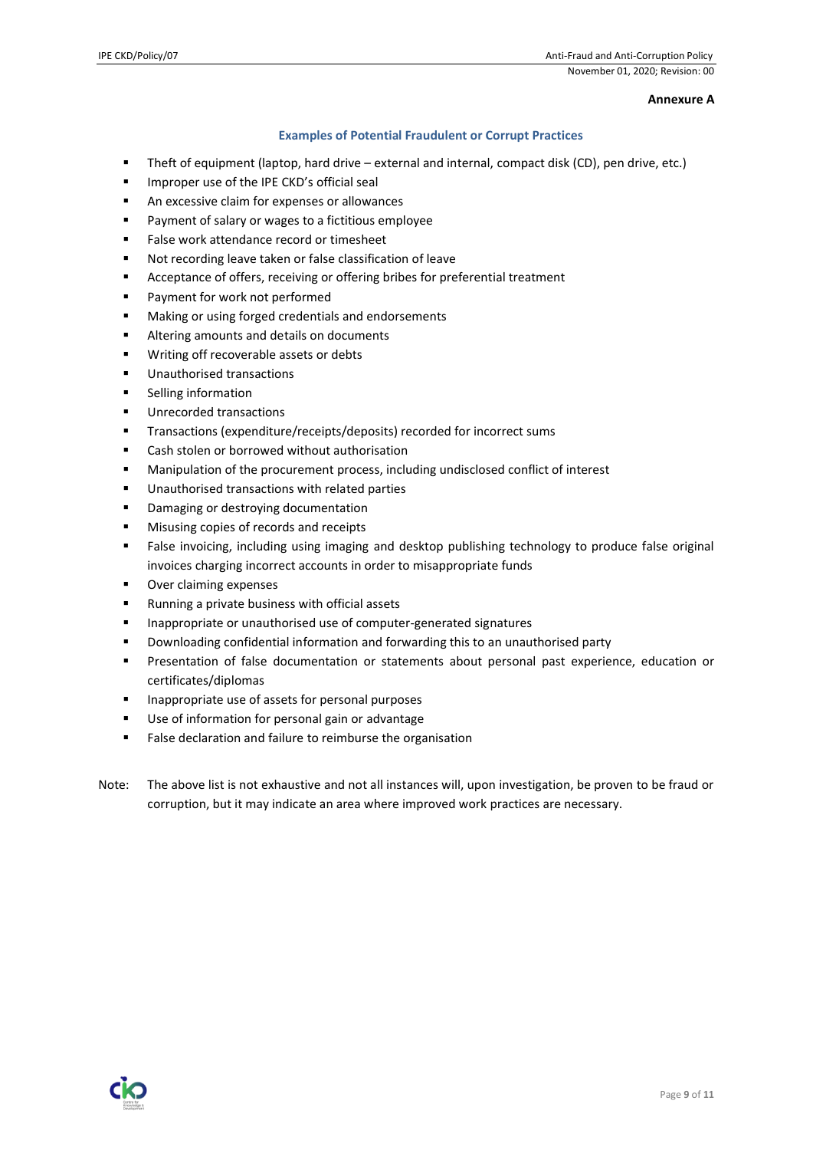## **Annexure A**

# **Examples of Potential Fraudulent or Corrupt Practices**

- Theft of equipment (laptop, hard drive external and internal, compact disk (CD), pen drive, etc.)
- **■** Improper use of the IPE CKD's official seal
- An excessive claim for expenses or allowances
- Payment of salary or wages to a fictitious employee
- False work attendance record or timesheet
- Not recording leave taken or false classification of leave
- Acceptance of offers, receiving or offering bribes for preferential treatment
- Payment for work not performed
- Making or using forged credentials and endorsements
- Altering amounts and details on documents
- Writing off recoverable assets or debts
- Unauthorised transactions
- Selling information
- Unrecorded transactions
- Transactions (expenditure/receipts/deposits) recorded for incorrect sums
- Cash stolen or borrowed without authorisation
- Manipulation of the procurement process, including undisclosed conflict of interest
- Unauthorised transactions with related parties
- Damaging or destroying documentation
- Misusing copies of records and receipts
- False invoicing, including using imaging and desktop publishing technology to produce false original invoices charging incorrect accounts in order to misappropriate funds
- Over claiming expenses
- Running a private business with official assets
- Inappropriate or unauthorised use of computer-generated signatures
- Downloading confidential information and forwarding this to an unauthorised party
- **•** Presentation of false documentation or statements about personal past experience, education or certificates/diplomas
- Inappropriate use of assets for personal purposes
- Use of information for personal gain or advantage
- False declaration and failure to reimburse the organisation
- Note: The above list is not exhaustive and not all instances will, upon investigation, be proven to be fraud or corruption, but it may indicate an area where improved work practices are necessary.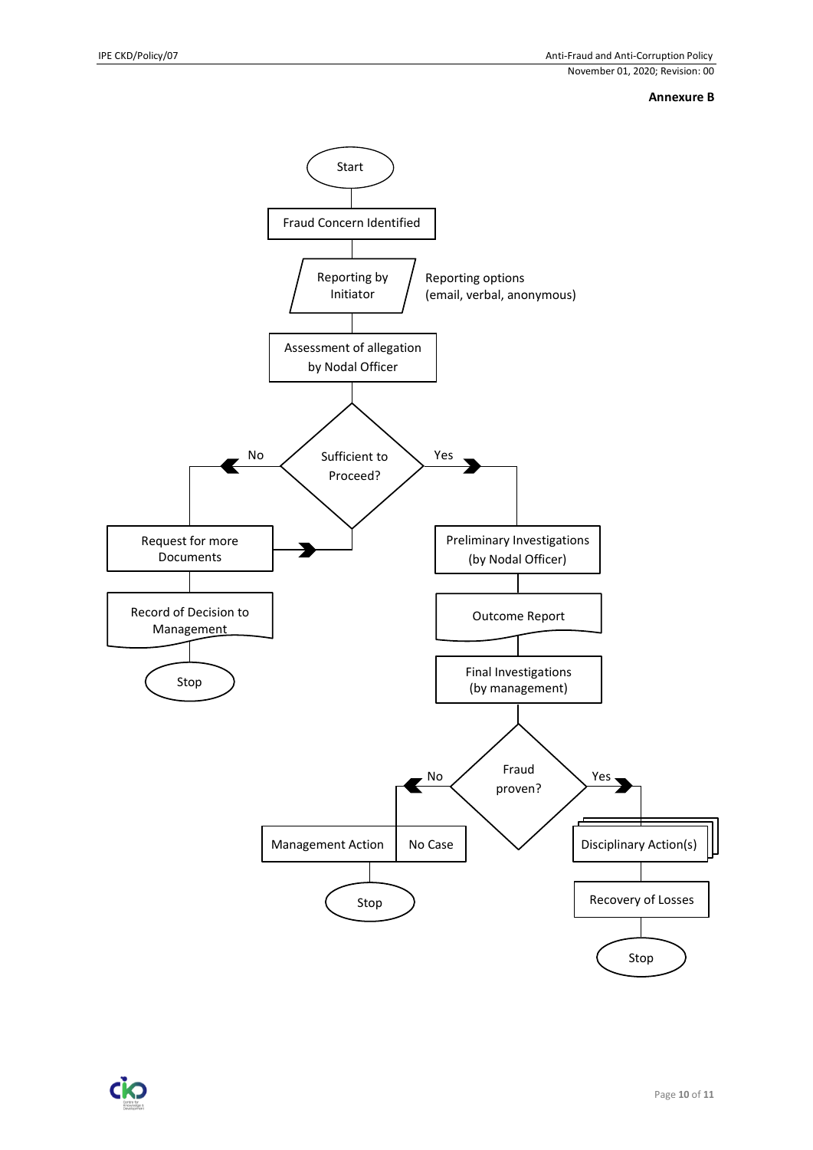# **Annexure B**